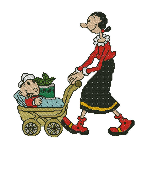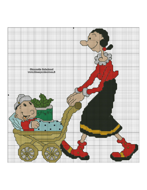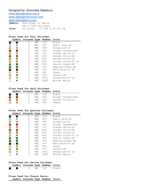# Designed by: Simonetta Sabatucci

[www.ideeapuntocroce.it](http://www.ideeapuntocroce.it/)

[www.ideeapuntocroce.com](http://www.ideeapuntocroce.com/)

[www.lackyeberry.com](http://www.lackyeberry.com/)

Fabric: Tela Aida 14, White 98w X 102h Stitches **Size:** 14 Count, 17.78w X 18.51h cm

# **Floss Used for Full Stitches:**

|    | Symbol Strands Type     |            | Number | Color              |
|----|-------------------------|------------|--------|--------------------|
|    | $\overline{2}$          | DMC        | 310    | Black              |
| ┺  | 2                       | DMC.       | 453    | Shell Gray-LT      |
| F) | 2                       | DMC.       | 598    | Turquoise-LT       |
| ⋕  | 2                       | <b>DMC</b> | 606    | Bright Orange-Red  |
| 4. | 2                       | DMC.       | 722    | Orange Spice-LT    |
| ン  | 2                       | <b>DMC</b> | 830    | Golden Olive-DK    |
| ት  | 2                       | DMC.       | 833    | Golden Olive-LT    |
| ↬  | 2                       | DMC.       | 834    | Golden Olive-VY LT |
| ₩  | 2                       | <b>DMC</b> | 905    | Parrot Green-DK    |
| 4  | $\mathcal{D}_{1}^{(1)}$ | <b>DMC</b> | 910    | Emerald Green-DK   |
|    | 2                       | <b>DMC</b> | 939    | Navy Blue-VY DK    |
| ⅗  | 2                       | <b>DMC</b> | 945    | Tawny              |
| ┺◆ | $\mathcal{D}$           | <b>DMC</b> | 972    | Canary-DK          |
| ٩. | 2                       | DMC.       | 3811   | Turquoise-VY LT    |
| ъ  | $\mathfrak{D}$          | DMC        | 3865   | Winter White       |

### **Floss Used for Half Stitches:**

|    | Symbol Strands Type Number Color |         |     |       |                   |
|----|----------------------------------|---------|-----|-------|-------------------|
|    |                                  | DMC 310 |     | Black |                   |
| Ŧ. |                                  | DMC.    | 606 |       | Bright Orange-Red |
| ት  |                                  | DMC.    | 833 |       | Golden Olive-LT   |
| ⊻  |                                  | DMC.    | 945 | Tawny |                   |

## **Floss Used for Quarter Stitches:**

| Symbol | Strands Type            |            | Number | Color              |
|--------|-------------------------|------------|--------|--------------------|
|        | 2                       | DMC        | 310    | Black              |
| ┺      | 2                       | <b>DMC</b> | 453    | Shell Gray-LT      |
| 7      | 2                       | <b>DMC</b> | 598    | Turquoise-LT       |
| #      | 2                       | <b>DMC</b> | 606    | Bright Orange-Red  |
| 91     | $\overline{2}$          | <b>DMC</b> | 722    | Orange Spice-LT    |
| ッ      | 2                       | DMC        | 830    | Golden Olive-DK    |
| ኍ      | 2                       | <b>DMC</b> | 833    | Golden Olive-LT    |
| ↬      | $\mathcal{D}_{1}^{(1)}$ | <b>DMC</b> | 834    | Golden Olive-VY LT |
| ₩      | 2                       | <b>DMC</b> | 905    | Parrot Green-DK    |
| Ч.     | 2                       | <b>DMC</b> | 910    | Emerald Green-DK   |
| €      | 2                       | <b>DMC</b> | 939    | Navy Blue-VY DK    |
|        | 2                       | <b>DMC</b> | 945    | Tawny              |
| ₩      | 2                       | <b>DMC</b> | 972    | Canary-DK          |
| ٩.     | 2                       | <b>DMC</b> | 3811   | Turquoise-VY LT    |
| ъ      | 2                       | DMC        | 3865   | Winter White       |

#### **Floss Used for Petite Stitches:**

|     | Symbol Strands Type Number Color |         |       |
|-----|----------------------------------|---------|-------|
| रू∣ |                                  | DMC 310 | Black |

#### **Floss Used for French Knots: Symbol Strands Type Number Color**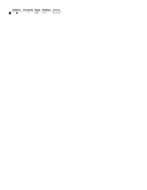|  | Symbol Strands Type Number Color |         |       |
|--|----------------------------------|---------|-------|
|  |                                  | DMC 310 | Black |